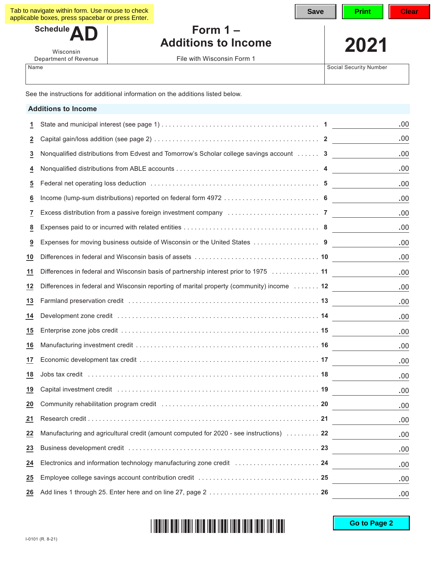| Tab to navigate within form. Use mouse to check  |  |
|--------------------------------------------------|--|
| applicable boxes, press spacebar or press Enter. |  |

Schedule<sup>1</sup>

Wisconsin Department of Revenue

## **Form 1 – Additions to Income 2021**

File with Wisconsin Form 1

Name Social Security Number

|                         | <b>Additions to Income</b>                                                                                                                                                                                                     |      |
|-------------------------|--------------------------------------------------------------------------------------------------------------------------------------------------------------------------------------------------------------------------------|------|
| 1                       |                                                                                                                                                                                                                                | .00  |
| <u>2</u>                |                                                                                                                                                                                                                                | .00. |
| 3                       | Nonqualified distributions from Edvest and Tomorrow's Scholar college savings account  3                                                                                                                                       | .00  |
| 4                       |                                                                                                                                                                                                                                | .00  |
| 5                       |                                                                                                                                                                                                                                | .00  |
| 6                       |                                                                                                                                                                                                                                | .00  |
| 7                       | Excess distribution from a passive foreign investment company manufactor content content of 7                                                                                                                                  | .00  |
| 8                       |                                                                                                                                                                                                                                | .00  |
| $\overline{\mathbf{a}}$ | Expenses for moving business outside of Wisconsin or the United States 9                                                                                                                                                       | .00  |
| 10                      | Differences in federal and Wisconsin basis of assets …………………………………………… 10                                                                                                                                                      | .00  |
| 11                      | Differences in federal and Wisconsin basis of partnership interest prior to 1975  11                                                                                                                                           | .00  |
| 12                      | Differences in federal and Wisconsin reporting of marital property (community) income 12                                                                                                                                       | .00  |
| 13                      | Farmland preservation credit (and according to the contract of the contract of the farmland preservation credit                                                                                                                | .00  |
| 14                      |                                                                                                                                                                                                                                | .00  |
| 15                      |                                                                                                                                                                                                                                | .00. |
| 16                      |                                                                                                                                                                                                                                | .00  |
| 17                      |                                                                                                                                                                                                                                | .00  |
| 18                      |                                                                                                                                                                                                                                | .00  |
| 19                      | Capital investment credit (and accommodation of the contract of the contract of the contract of the contract of the contract of the contract of the contract of the contract of the contract of the contract of the contract o | .00  |
| 20                      | Community rehabilitation program credit (and the content of the content of the content of 20                                                                                                                                   | .00  |
| 21                      |                                                                                                                                                                                                                                | .00  |
| $\overline{22}$         | Manufacturing and agricultural credit (amount computed for 2020 - see instructions)  22                                                                                                                                        | .00. |
| 23                      |                                                                                                                                                                                                                                | .00. |
| <u>24</u>               | Electronics and information technology manufacturing zone credit  24                                                                                                                                                           | .00. |
| 25                      |                                                                                                                                                                                                                                | .00. |
| 26                      |                                                                                                                                                                                                                                | .00. |